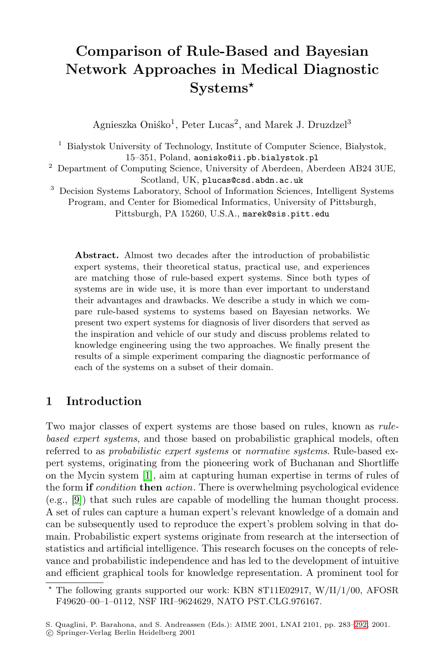# **Comparison of Rule-Based and Bayesian Network Approaches in Medical Diagnostic Systems***?*

Agnieszka Oniśko<sup>1</sup>, Peter Lucas<sup>2</sup>, and Marek J. Druzdzel<sup>3</sup>

<sup>1</sup> Białystok University of Technology, Institute of Computer Science, Białystok, 15–351, Poland, aonisko@ii.pb.bialystok.pl

<sup>2</sup> Department of Computing Science, University of Aberdeen, Aberdeen AB24 3UE, Scotland, UK, plucas@csd.abdn.ac.uk

<sup>3</sup> Decision Systems Laboratory, School of Information Sciences, Intelligent Systems Program, and Center for Biomedical Informatics, University of Pittsburgh,

Pittsburgh, PA 15260, U.S.A., marek@sis.pitt.edu

**Abstract.** Almost two decades after the introduction of probabilistic expert systems, their theoretical status, practical use, and experiences are matching those of rule-based expert systems. Since both types of systems are in wide use, it is more than ever important to understand their advantages and drawbacks. We describe a study in which we compare rule-based systems to systems based on Bayesian networks. We present two expert systems for diagnosis of liver disorders that served as the inspiration and vehicle of our study and discuss problems related to knowledge engineering using the two approaches. We finally present the results of a simple experiment comparing the diagnostic performance of each of the systems on a subset of their domain.

## **[1](#page-9-0) Introduction**

Two major classes of expert systems are those based on rules, known as rulebased expert systems, and those based on probabilistic graphical models, often referred to as *probabilistic expert systems* or *normative systems*. Rule-based expert systems, originating from the pioneering work of Buchanan and Shortliffe on the Mycin system [1], aim at capturing human expertise in terms of rules of the form **if** condition **then** action. There is overwhelming psychological evidence (e.g., [9]) that such rules are capable of modelling the human thought process. A set of rules can capture a human expert's relevant knowledge of a domain and can be subsequently used to reproduce the expert's problem solving in that domain. Probabilistic expert systems originate from research at the intersection of statistics and artificial intelligence. This research [foc](#page-9-0)uses on the concepts of relevance and probabilistic independence and has led to the development of intuitive and efficient graphical tools for knowledge representation. A prominent tool for

 $*$  The following grants supported our work: KBN 8T11E02917, W/II/1/00, AFOSR F49620–00–1–0112, NSF IRI–9624629, NATO PST.CLG.976167.

S. Quaglini, P. Barahona, and S. Andreassen (Eds.): AIME 2001, LNAI 2101, pp. 283–292, 2001.

c Springer-Verlag Berlin Heidelberg 2001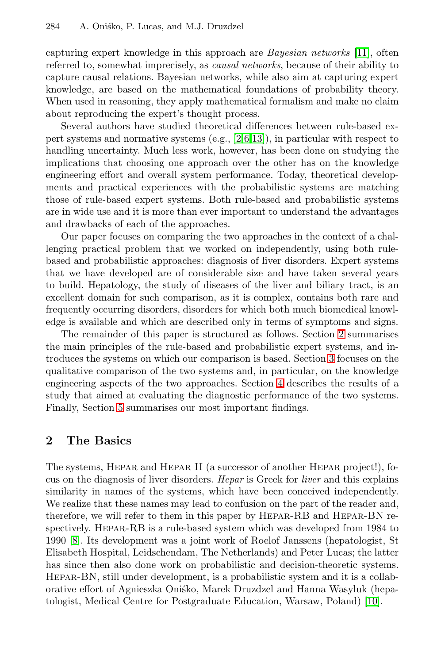capturing expert knowledge in this approach are Bayesian networks [\[11\]](#page-9-0), often referred to, somewhat imprecisely, as *causal networks*, because of their ability to capture causal relations. Bayesian networks, while also aim at capturing expert knowledge, are based on the mathematical foundations of probability theory. When used in reasoning, they apply mathematical formalism and make no claim about reproducing the expert's thought process.

Several authors have studied theoretical differences between rule-based expert systems and normative systems (e.g., [\[2,6,13\]](#page-9-0)), in particular with respect to handling uncertainty. Much less work, however, has been done on studying the implications that choosing one approach over the other has on the knowledge engineering effort and overall system performance. Today, theoretical developments and practical experiences with the probabilistic systems are matching those of rule-based expert systems. Both rule-based and probabilistic systems are in wide use and it is more than ever important to understand the advantages and drawbacks of each of the approaches.

Our paper focuses on comparing the two approaches in the context of a challenging practical problem that we worked on independently, using both rulebased and probabilistic approaches: diagnosis of liver disorders. Expert systems that we have developed are of considerable size and have taken several years to build. Hepatology, the study of diseases of the liver and biliary tract, is an excellent domain for such comparison, as it is complex, contains both rare and frequently occurring disorders, disorders for which both much biomedical knowledge is available and which are described only in terms of symptoms and signs.

The remainder of this paper is structured as follows. Section 2 summarises the main principles of the rule-based and probabilistic expert systems, and introduces the systems on which our comparison is based. Section [3](#page-4-0) focuses on the qualitative comparison of the two systems and, in particular, on the knowledge engineering aspects of the two approaches. Section [4](#page-7-0) describes the results of a study that aimed at evaluating the diagnostic performance of the two systems. Finally, Section [5](#page-8-0) summarises our most important findings.

# **2 The Basics**

The systems, Hepar and Hepar II (a successor of another Hepar project!), focus on the diagnosis of liver disorders. Hepar is Greek for liver and this explains similarity in names of the systems, which have been conceived independently. We realize that these names may lead to confusion on the part of the reader and, therefore, we will refer to them in this paper by Hepar-RB and Hepar-BN respectively. Hepar-RB is a rule-based system which was developed from 1984 to 1990 [\[8\]](#page-9-0). Its development was a joint work of Roelof Janssens (hepatologist, St Elisabeth Hospital, Leidschendam, The Netherlands) and Peter Lucas; the latter has since then also done work on probabilistic and decision-theoretic systems. Hepar-BN, still under development, is a probabilistic system and it is a collaborative effort of Agnieszka Onisko, Marek Druzdzel and Hanna Wasyluk (hepatologist, Medical Centre for Postgraduate Education, Warsaw, Poland) [\[10\]](#page-9-0).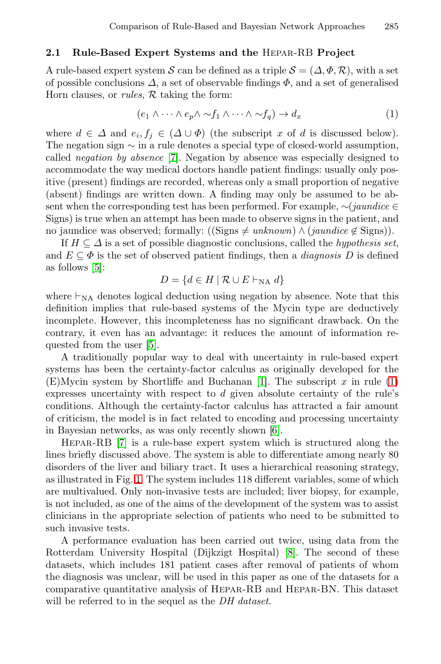#### **2.1 Rule-Based Expert Systems and the** Hepar-RB **Project**

A rule-based expert system S can be defined as a triple  $\mathcal{S} = (\Delta, \Phi, \mathcal{R})$ , with a set of possible conclusions  $\Delta$ , a set of observable findings  $\Phi$ , and a set of generalised Horn clauses, or *rules*,  $\mathcal{R}$  taking the form:

$$
(e_1 \wedge \cdots \wedge e_p \wedge \sim f_1 \wedge \cdots \wedge \sim f_q) \rightarrow d_x \tag{1}
$$

where  $d \in \Delta$  and  $e_i, f_j \in (\Delta \cup \Phi)$  (the subscript x of d is discussed below). The negation sign  $\sim$  in a rule denotes a special type of closed-world assumption, called negation by absence [\[7\]](#page-9-0). Negation by absence was especially designed to accommodate the way medical doctors handle patient findings: usually only positive (present) findings are recorded, whereas only a small proportion of negative (absent) findings are written down. A finding may only be assumed to be absent when the corresponding test has been performed. For example, ∼(jaundice ∈ Signs) is true when an attempt has been made to observe signs in the patient, and no jaundice was observed; formally: ((Signs  $\neq unknown$ )  $\land$  (jaundice  $\notin$  Signs)).

If  $H \subseteq \Delta$  is a set of possible diagnostic conclusions, called the *hypothesis set*, and  $E \subseteq \Phi$  is the set of observed patient findings, then a *diagnosis* D is defined as follows [\[5\]](#page-9-0):

$$
D = \{ d \in H \mid \mathcal{R} \cup E \vdash_{\text{NA}} d \}
$$

where  $\vdash_{NA}$  denotes logical deduction using negation by absence. Note that this definition implies that rule-based systems of the Mycin type are deductively incomplete. However, this incompleteness has no significant drawback. On the contrary, it even has an advantage: it reduces the amount of information requested from the user [\[5\]](#page-9-0).

A traditionally popular way to deal with uncertainty in rule-based expert systems has been the certainty-factor calculus as originally developed for the (E)Mycin system by Shortliffe and Buchanan [\[1\]](#page-9-0). The subscript x in rule  $(1)$ expresses uncertainty with respect to  $d$  given absolute certainty of the rule's conditions. Although the certainty-factor calculus has attracted a fair amount of criticism, the model is in fact related to encoding and processing uncertainty in Bayesian networks, as was only recently shown [\[6\]](#page-9-0).

Hepar-RB [\[7\]](#page-9-0) is a rule-base expert system which is structured along the lines briefly discussed above. The system is able to differentiate among nearly 80 disorders of the liver and biliary tract. It uses a hierarchical reasoning strategy, as illustrated in Fig. [1.](#page-3-0) The system includes 118 different variables, some of which are multivalued. Only non-invasive tests are included; liver biopsy, for example, is not included, as one of the aims of the development of the system was to assist clinicians in the appropriate selection of patients who need to be submitted to such invasive tests.

A performance evaluation has been carried out twice, using data from the Rotterdam University Hospital (Dijkzigt Hospital) [\[8\]](#page-9-0). The second of these datasets, which includes 181 patient cases after removal of patients of whom the diagnosis was unclear, will be used in this paper as one of the datasets for a comparative quantitative analysis of Hepar-RB and Hepar-BN. This dataset will be referred to in the sequel as the *DH dataset*.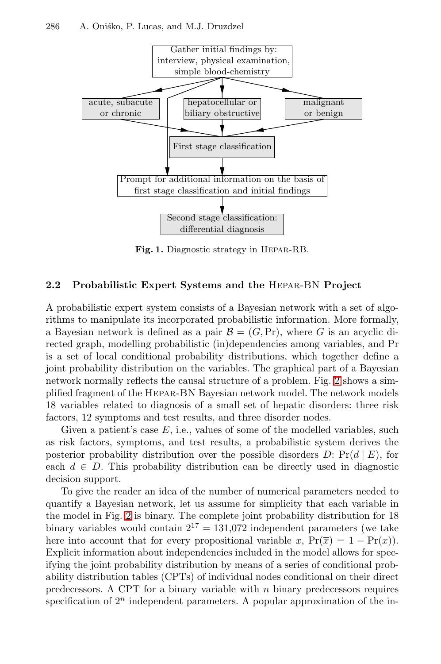<span id="page-3-0"></span>

Fig. 1. Diagnostic strategy in HEPAR-RB.

#### **2.2 Probabilistic Expert Systems and the** Hepar-BN **Project**

A probabilistic expert system consists of a Bayesian network with a set of algorithms to manipulate its incorporated probabilistic information. More formally, a Bayesian network is defined as a pair  $\mathcal{B} = (G, Pr)$ , where G is an acyclic directed graph, modelling probabilistic (in)dependencies among variables, and Pr is a set of local conditional probability distributions, which together define a joint probability distribution on the variables. The graphical part of a Bayesian network normally reflects the causal structure of a problem. Fig. [2](#page-4-0) shows a simplified fragment of the Hepar-BN Bayesian network model. The network models 18 variables related to diagnosis of a small set of hepatic disorders: three risk factors, 12 symptoms and test results, and three disorder nodes.

Given a patient's case  $E$ , i.e., values of some of the modelled variables, such as risk factors, symptoms, and test results, a probabilistic system derives the posterior probability distribution over the possible disorders D:  $Pr(d | E)$ , for each  $d \in D$ . This probability distribution can be directly used in diagnostic decision support.

To give the reader an idea of the number of numerical parameters needed to quantify a Bayesian network, let us assume for simplicity that each variable in the model in Fig. [2](#page-4-0) is binary. The complete joint probability distribution for 18 binary variables would contain  $2^{17} = 131,072$  independent parameters (we take here into account that for every propositional variable x,  $Pr(\bar{x})=1 - Pr(x)$ . Explicit information about independencies included in the model allows for specifying the joint probability distribution by means of a series of conditional probability distribution tables (CPTs) of individual nodes conditional on their direct predecessors. A CPT for a binary variable with  $n$  binary predecessors requires specification of  $2^n$  independent parameters. A popular approximation of the in-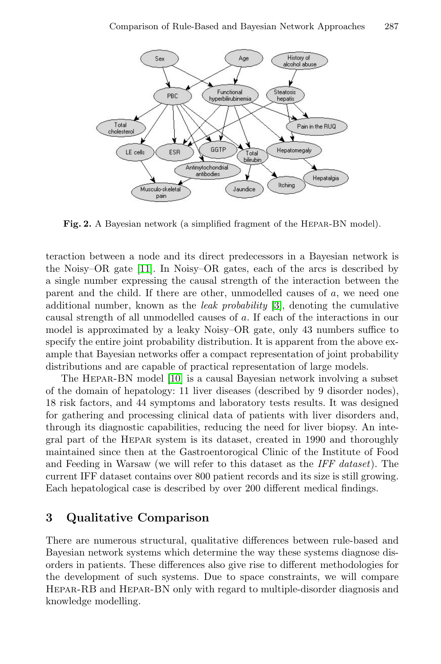<span id="page-4-0"></span>

Fig. 2. A Bayesian network (a simplified fragment of the HEPAR-BN model).

teraction between a node and its direct predecessors in a Bayesian network is the Noisy–OR gate [\[11\]](#page-9-0). In Noisy–OR gates, each of the arcs is described by a single number expressing the causal strength of the interaction between the parent and the child. If there are other, unmodelled causes of a, we need one additional number, known as the leak probability [\[3\]](#page-9-0), denoting the cumulative causal strength of all unmodelled causes of a. If each of the interactions in our model is approximated by a leaky Noisy–OR gate, only 43 numbers suffice to specify the entire joint probability distribution. It is apparent from the above example that Bayesian networks offer a compact representation of joint probability distributions and are capable of practical representation of large models.

The Hepar-BN model [\[10\]](#page-9-0) is a causal Bayesian network involving a subset of the domain of hepatology: 11 liver diseases (described by 9 disorder nodes), 18 risk factors, and 44 symptoms and laboratory tests results. It was designed for gathering and processing clinical data of patients with liver disorders and, through its diagnostic capabilities, reducing the need for liver biopsy. An integral part of the Hepar system is its dataset, created in 1990 and thoroughly maintained since then at the Gastroentorogical Clinic of the Institute of Food and Feeding in Warsaw (we will refer to this dataset as the IFF dataset). The current IFF dataset contains over 800 patient records and its size is still growing. Each hepatological case is described by over 200 different medical findings.

## **3 Qualitative Comparison**

There are numerous structural, qualitative differences between rule-based and Bayesian network systems which determine the way these systems diagnose disorders in patients. These differences also give rise to different methodologies for the development of such systems. Due to space constraints, we will compare Hepar-RB and Hepar-BN only with regard to multiple-disorder diagnosis and knowledge modelling.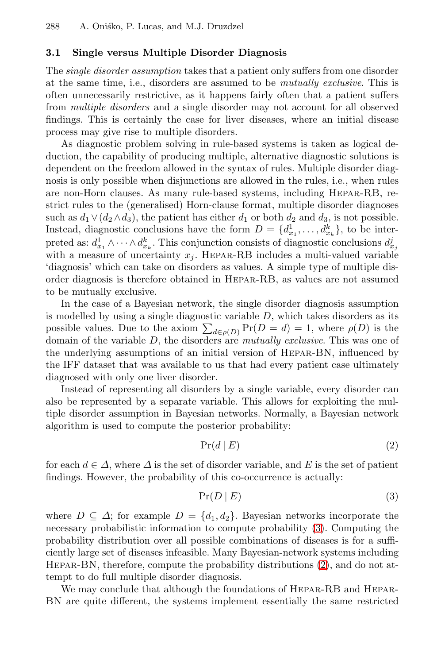#### **3.1 Single versus Multiple Disorder Diagnosis**

The *single disorder assumption* takes that a patient only suffers from one disorder at the same time, i.e., disorders are assumed to be mutually exclusive. This is often unnecessarily restrictive, as it happens fairly often that a patient suffers from multiple disorders and a single disorder may not account for all observed findings. This is certainly the case for liver diseases, where an initial disease process may give rise to multiple disorders.

As diagnostic problem solving in rule-based systems is taken as logical deduction, the capability of producing multiple, alternative diagnostic solutions is dependent on the freedom allowed in the syntax of rules. Multiple disorder diagnosis is only possible when disjunctions are allowed in the rules, i.e., when rules are non-Horn clauses. As many rule-based systems, including Hepar-RB, restrict rules to the (generalised) Horn-clause format, multiple disorder diagnoses such as  $d_1 \vee (d_2 \wedge d_3)$ , the patient has either  $d_1$  or both  $d_2$  and  $d_3$ , is not possible. Instead, diagnostic conclusions have the form  $D = \{d_{x_1}^1, \ldots, d_{x_k}^k\}$ , to be interpreted as:  $d_{x_1}^1 \wedge \cdots \wedge d_{x_k}^k$ . This conjunction consists of diagnostic conclusions  $d_{x_j}^j$ with a measure of uncertainty  $x_j$ . HEPAR-RB includes a multi-valued variable 'diagnosis' which can take on disorders as values. A simple type of multiple disorder diagnosis is therefore obtained in Hepar-RB, as values are not assumed to be mutually exclusive.

In the case of a Bayesian network, the single disorder diagnosis assumption is modelled by using a single diagnostic variable  $D$ , which takes disorders as its possible values. Due to the axiom  $\sum_{d \in \rho(D)} Pr(D = d) = 1$ , where  $\rho(D)$  is the domain of the variable D, the disorders are *mutually exclusive*. This was one of the underlying assumptions of an initial version of Hepar-BN, influenced by the IFF dataset that was available to us that had every patient case ultimately diagnosed with only one liver disorder.

Instead of representing all disorders by a single variable, every disorder can also be represented by a separate variable. This allows for exploiting the multiple disorder assumption in Bayesian networks. Normally, a Bayesian network algorithm is used to compute the posterior probability:

$$
Pr(d \mid E) \tag{2}
$$

for each  $d \in \Delta$ , where  $\Delta$  is the set of disorder variable, and E is the set of patient findings. However, the probability of this co-occurrence is actually:

$$
Pr(D \mid E) \tag{3}
$$

where  $D \subseteq \Delta$ ; for example  $D = \{d_1, d_2\}$ . Bayesian networks incorporate the necessary probabilistic information to compute probability (3). Computing the probability distribution over all possible combinations of diseases is for a sufficiently large set of diseases infeasible. Many Bayesian-network systems including Hepar-BN, therefore, compute the probability distributions (2), and do not attempt to do full multiple disorder diagnosis.

We may conclude that although the foundations of HEPAR-RB and HEPAR-BN are quite different, the systems implement essentially the same restricted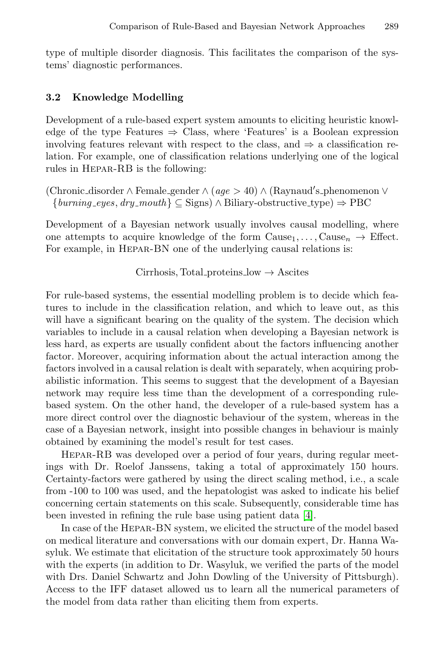type of multiple disorder diagnosis. This facilitates the comparison of the systems' diagnostic performances.

## **3.2 Knowledge Modelling**

Development of a rule-based expert system amounts to eliciting heuristic knowledge of the type Features  $\Rightarrow$  Class, where 'Features' is a Boolean expression involving features relevant with respect to the class, and  $\Rightarrow$  a classification relation. For example, one of classification relations underlying one of the logical rules in Hepar-RB is the following:

(Chronic disorder  $\land$  Female gender  $\land$  (age > 40)  $\land$  (Raynaud's phenomenon  $\lor$  $\{burning\_eyes, dry\_mouth\} \subseteq \text{Sigma} \land \text{Biliary-obstructive\_type} \Rightarrow \text{PBC}$ 

Development of a Bayesian network usually involves causal modelling, where one attempts to acquire knowledge of the form  $\text{Cause}_{1},\ldots,\text{Cause}_{n} \rightarrow \text{Effect.}$ For example, in HEPAR-BN one of the underlying causal relations is:

#### Cirrhosis, Total proteins  $\text{low} \to \text{Ascites}$

For rule-based systems, the essential modelling problem is to decide which features to include in the classification relation, and which to leave out, as this will have a significant bearing on the quality of the system. The decision which variables to include in a causal relation when developing a Bayesian network is less hard, as experts are usually confident about the factors influencing another factor. Moreover, acquiring information about the actual interaction among the factors involved in a causal relation is dealt with separately, when acquiring probabilistic information. This seems to suggest that the development of a Bayesian network may require less time than the development of a corresponding rulebased system. On the other hand, the developer of a rule-based system has a more direct control over the diagnostic behaviour of the system, whereas in the case of a Bayesian network, insight into possible changes in behaviour is mainly obtained by examining the model's result for test cases.

Hepar-RB was developed over a period of four years, during regular meetings with Dr. Roelof Janssens, taking a total of approximately 150 hours. Certainty-factors were gathered by using the direct scaling method, i.e., a scale from -100 to 100 was used, and the hepatologist was asked to indicate his belief concerning certain statements on this scale. Subsequently, considerable time has been invested in refining the rule base using patient data [\[4\]](#page-9-0).

In case of the Hepar-BN system, we elicited the structure of the model based on medical literature and conversations with our domain expert, Dr. Hanna Wasyluk. We estimate that elicitation of the structure took approximately 50 hours with the experts (in addition to Dr. Wasyluk, we verified the parts of the model with Drs. Daniel Schwartz and John Dowling of the University of Pittsburgh). Access to the IFF dataset allowed us to learn all the numerical parameters of the model from data rather than eliciting them from experts.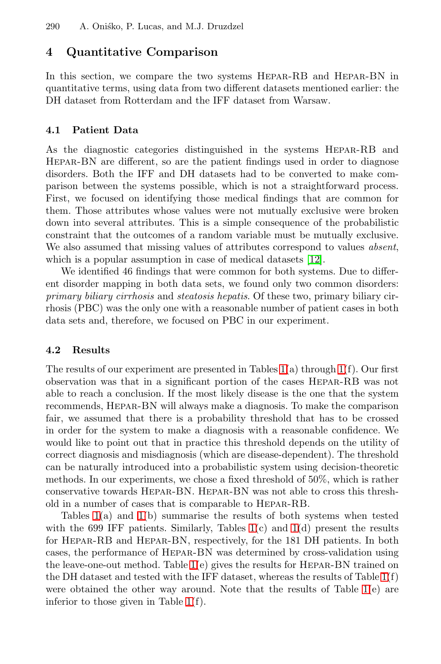## <span id="page-7-0"></span>**4 Quantitative Comparison**

In this section, we compare the two systems Hepar-RB and Hepar-BN in quantitative terms, using data from two different datasets mentioned earlier: the DH dataset from Rotterdam and the IFF dataset from Warsaw.

### **4.1 Patient Data**

As the diagnostic categories distinguished in the systems Hepar-RB and Hepar-BN are different, so are the patient findings used in order to diagnose disorders. Both the IFF and DH datasets had to be converted to make comparison between the systems possible, which is not a straightforward process. First, we focused on identifying those medical findings that are common for them. Those attributes whose values were not mutually exclusive were broken down into several attributes. This is a simple consequence of the probabilistic constraint that the outcomes of a random variable must be mutually exclusive. We also assumed that missing values of attributes correspond to values *absent*, which is a popular assumption in case of medical datasets [\[12\]](#page-9-0).

We identified 46 findings that were common for both systems. Due to different disorder mapping in both data sets, we found only two common disorders: primary biliary cirrhosis and steatosis hepatis. Of these two, primary biliary cirrhosis (PBC) was the only one with a reasonable number of patient cases in both data sets and, therefore, we focused on PBC in our experiment.

## **4.2 Results**

The results of our experiment are presented in Tables  $1(a)$  through  $1(f)$ . Our first observation was that in a significant portion of the cases Hepar-RB was not able to reach a conclusion. If the most likely disease is the one that the system recommends, Hepar-BN will always make a diagnosis. To make the comparison fair, we assumed that there is a probability threshold that has to be crossed in order for the system to make a diagnosis with a reasonable confidence. We would like to point out that in practice this threshold depends on the utility of correct diagnosis and misdiagnosis (which are disease-dependent). The threshold can be naturally introduced into a probabilistic system using decision-theoretic methods. In our experiments, we chose a fixed threshold of 50%, which is rather conservative towards Hepar-BN. Hepar-BN was not able to cross this threshold in a number of cases that is comparable to Hepar-RB.

Tables [1\(](#page-8-0)a) and [1\(](#page-8-0)b) summarise the results of both systems when tested with the 699 IFF patients. Similarly, Tables  $1(c)$  and  $1(d)$  present the results for Hepar-RB and Hepar-BN, respectively, for the 181 DH patients. In both cases, the performance of Hepar-BN was determined by cross-validation using the leave-one-out method. Table [1\(](#page-8-0)e) gives the results for Hepar-BN trained on the DH dataset and tested with the IFF dataset, whereas the results of Table [1\(](#page-8-0)f) were obtained the other way around. Note that the results of Table [1\(](#page-8-0)e) are inferior to those given in Table [1\(](#page-8-0)f).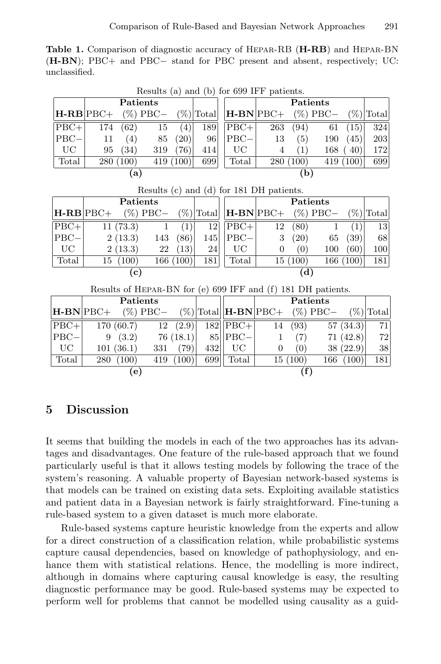<span id="page-8-0"></span>**Table 1.** Comparison of diagnostic accuracy of Hepar-RB (**H-RB**) and Hepar-BN (**H-BN**); PBC+ and PBC− stand for PBC present and absent, respectively; UC: unclassified.

Results (a) and (b) for 699 IFF patients.

|               |     | Patients         |                |                  |              |                | Patients |                  |                |       |              |
|---------------|-----|------------------|----------------|------------------|--------------|----------------|----------|------------------|----------------|-------|--------------|
| $ H-RB PBC+$  |     |                  | $(\%)$ PBC $-$ |                  | $(\%)$ Total | $ H-BN PBC+$   |          |                  | $(\%)$ PBC $-$ |       | $(\%)$ Total |
| $ PBC+$       | 174 | (62)             | 15             | $\left(4\right)$ | 189          | $PBC+$         | 263      | (94)             | 61             | (15   | 324          |
| $ {\rm PBC}-$ | 11  | $\left(4\right)$ | 85             | (20)             | 96           | $PBC-$         | 13       | $\left(5\right)$ | 190            | 45    | 203          |
| UC            | 95  | (34)             | 319            | 76               | 414          | UC             | 4        |                  | 168            | 40    | 1721         |
| Total         |     | 280(100)         |                | 419 (100)        | 699          | $_{\rm Total}$ |          | 280(100)         | 419            | (100) | 699          |
|               |     | a                |                |                  | b            |                |          |                  |                |       |              |

| resures (c) and (d) for for Dir patients. |              |          |                |                |     |                                  |    |         |                |           |                 |
|-------------------------------------------|--------------|----------|----------------|----------------|-----|----------------------------------|----|---------|----------------|-----------|-----------------|
|                                           |              | Patients |                |                |     |                                  |    |         |                |           |                 |
|                                           | $ H-RB PBC+$ |          | $(\%)$ PBC $-$ |                |     | $(\%)$ Total   <b>H-BN</b>  PBC+ |    |         | $(\%)$ PBC $-$ |           | $(\%)$ Total    |
| $PBC+$                                    |              | 11(73.3) |                |                | 12  | $PBC+$                           | 12 | (80)    |                |           | 13 <sup>l</sup> |
| $ {\rm PBC}-$                             |              | 2(13.3)  | 143            | $^{\prime}86)$ | 145 | $PBC-$                           |    | (20)    | 65             | (39)      | 68              |
| UC                                        |              | 2(13.3)  | 22             | (13)           | 24  | UC                               |    | (0)     | 100            | (60)      | 100             |
| Total                                     | 15           | (100)    |                | 166(100)       | 181 | Total                            |    | 15(100) |                | 166 (100) | 181             |
|                                           |              | с        |                |                |     |                                  |    | ∫d      |                |           |                 |

Results (e) and (d) for 181 DH patients.

Results of Hepar-BN for (e) 699 IFF and (f) 181 DH patients.

|              | Patients |            |                |                |     |                                 | Patients |         |                |          |              |
|--------------|----------|------------|----------------|----------------|-----|---------------------------------|----------|---------|----------------|----------|--------------|
| $ H-BN PBC+$ |          |            | $(\%)$ PBC $-$ |                |     | $(\%)$ Total  <b>H-BN</b>  PBC+ |          |         | $(\%)$ PBC $-$ |          | $(\%)$ Total |
| $PBC+$       |          | 170 (60.7) | 12             | (2.9)          |     | $182$   PBC+                    | 14       | (93)    |                | 57(34.3) | 71           |
| $PBC-$       | 9        | (3.2)      |                | 76(18.1)       |     | $85$   PBC $-$                  |          | (7)     |                | 71(42.8) | 72           |
| UC           |          | 101(36.1)  | 331            | $^{\prime}79)$ | 432 | UC                              | O        | (0)     |                | 38(22.9) | 38           |
| Total        | 280      | (100)      | 419            | 100)           | 699 | Total                           |          | 15(100) | 166            | (100)    | 181          |
|              |          | $\epsilon$ |                |                |     |                                 |          | Έ       |                |          |              |

# **5 Discussion**

It seems that building the models in each of the two approaches has its advantages and disadvantages. One feature of the rule-based approach that we found particularly useful is that it allows testing models by following the trace of the system's reasoning. A valuable property of Bayesian network-based systems is that models can be trained on existing data sets. Exploiting available statistics and patient data in a Bayesian network is fairly straightforward. Fine-tuning a rule-based system to a given dataset is much more elaborate.

Rule-based systems capture heuristic knowledge from the experts and allow for a direct construction of a classification relation, while probabilistic systems capture causal dependencies, based on knowledge of pathophysiology, and enhance them with statistical relations. Hence, the modelling is more indirect, although in domains where capturing causal knowledge is easy, the resulting diagnostic performance may be good. Rule-based systems may be expected to perform well for problems that cannot be modelled using causality as a guid